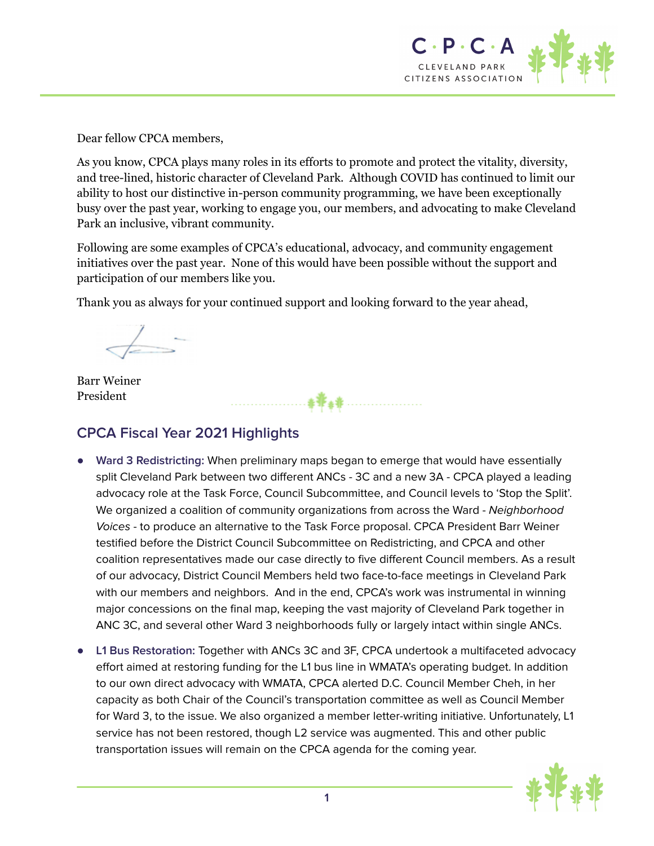

Dear fellow CPCA members,

As you know, CPCA plays many roles in its efforts to promote and protect the vitality, diversity, and tree-lined, historic character of Cleveland Park. Although COVID has continued to limit our ability to host our distinctive in-person community programming, we have been exceptionally busy over the past year, working to engage you, our members, and advocating to make Cleveland Park an inclusive, vibrant community.

Following are some examples of CPCA's educational, advocacy, and community engagement initiatives over the past year. None of this would have been possible without the support and participation of our members like you.

Thank you as always for your continued support and looking forward to the year ahead,

Barr Weiner President

## **CPCA Fiscal Year 2021 Highlights**

- **● Ward 3 Redistricting:** When preliminary maps began to emerge that would have essentially split Cleveland Park between two different ANCs - 3C and a new 3A - CPCA played a leading advocacy role at the Task Force, Council Subcommittee, and Council levels to 'Stop the Split'. We organized a coalition of community organizations from across the Ward - Neighborhood Voices - to produce an alternative to the Task Force proposal. CPCA President Barr Weiner testified before the District Council Subcommittee on Redistricting, and CPCA and other coalition representatives made our case directly to five different Council members. As a result of our advocacy, District Council Members held two face-to-face meetings in Cleveland Park with our members and neighbors. And in the end, CPCA's work was instrumental in winning major concessions on the final map, keeping the vast majority of Cleveland Park together in ANC 3C, and several other Ward 3 neighborhoods fully or largely intact within single ANCs.
- **L1 Bus Restoration:** Together with ANCs 3C and 3F, CPCA undertook a multifaceted advocacy effort aimed at restoring funding for the L1 bus line in WMATA's operating budget. In addition to our own direct advocacy with WMATA, CPCA alerted D.C. Council Member Cheh, in her capacity as both Chair of the Council's transportation committee as well as Council Member for Ward 3, to the issue. We also organized a member letter-writing initiative. Unfortunately, L1 service has not been restored, though L2 service was augmented. This and other public transportation issues will remain on the CPCA agenda for the coming year.

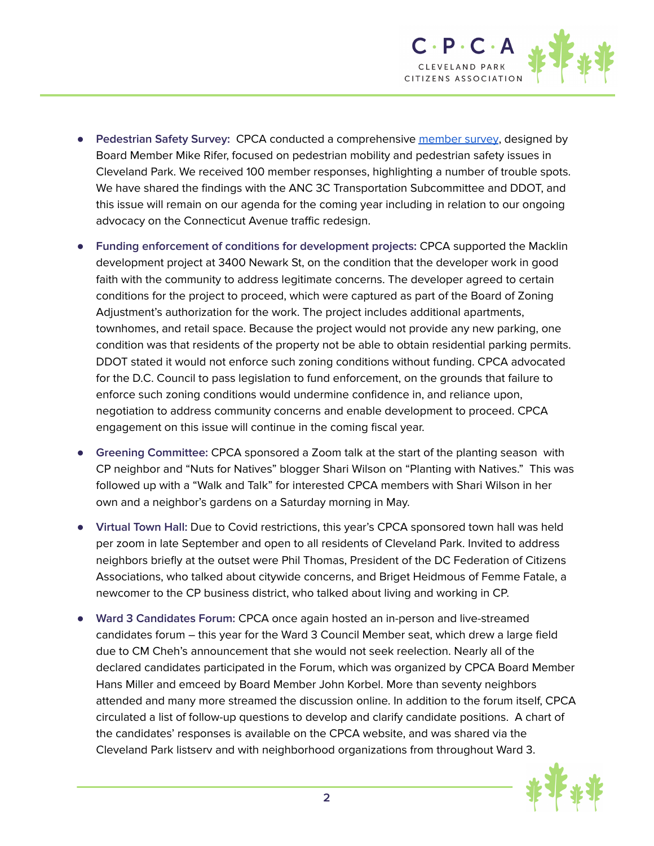

- **Pedestrian Safety Survey:** CPCA conducted a comprehensive [member](https://drive.google.com/file/d/1FZkbk7uUFgOKN6VnzxMsWWLr9kmUCUAz/view?usp=sharing) survey, designed by Board Member Mike Rifer, focused on pedestrian mobility and pedestrian safety issues in Cleveland Park. We received 100 member responses, highlighting a number of trouble spots. We have shared the findings with the ANC 3C Transportation Subcommittee and DDOT, and this issue will remain on our agenda for the coming year including in relation to our ongoing advocacy on the Connecticut Avenue traffic redesign.
- **● Funding enforcement of conditions for development projects:** CPCA supported the Macklin development project at 3400 Newark St, on the condition that the developer work in good faith with the community to address legitimate concerns. The developer agreed to certain conditions for the project to proceed, which were captured as part of the Board of Zoning Adjustment's authorization for the work. The project includes additional apartments, townhomes, and retail space. Because the project would not provide any new parking, one condition was that residents of the property not be able to obtain residential parking permits. DDOT stated it would not enforce such zoning conditions without funding. CPCA advocated for the D.C. Council to pass legislation to fund enforcement, on the grounds that failure to enforce such zoning conditions would undermine confidence in, and reliance upon, negotiation to address community concerns and enable development to proceed. CPCA engagement on this issue will continue in the coming fiscal year.
- **Greening Committee:** CPCA sponsored a Zoom talk at the start of the planting season with CP neighbor and "Nuts for Natives" blogger Shari Wilson on "Planting with Natives." This was followed up with a "Walk and Talk" for interested CPCA members with Shari Wilson in her own and a neighbor's gardens on a Saturday morning in May.
- **Virtual Town Hall:** Due to Covid restrictions, this year's CPCA sponsored town hall was held per zoom in late September and open to all residents of Cleveland Park. Invited to address neighbors briefly at the outset were Phil Thomas, President of the DC Federation of Citizens Associations, who talked about citywide concerns, and Briget Heidmous of Femme Fatale, a newcomer to the CP business district, who talked about living and working in CP.
- **Ward 3 Candidates Forum:** CPCA once again hosted an in-person and live-streamed candidates forum – this year for the Ward 3 Council Member seat, which drew a large field due to CM Cheh's announcement that she would not seek reelection. Nearly all of the declared candidates participated in the Forum, which was organized by CPCA Board Member Hans Miller and emceed by Board Member John Korbel. More than seventy neighbors attended and many more streamed the discussion online. In addition to the forum itself, CPCA circulated a list of follow-up questions to develop and clarify candidate positions. A chart of the candidates' responses is available on the CPCA website, and was shared via the Cleveland Park listserv and with neighborhood organizations from throughout Ward 3.